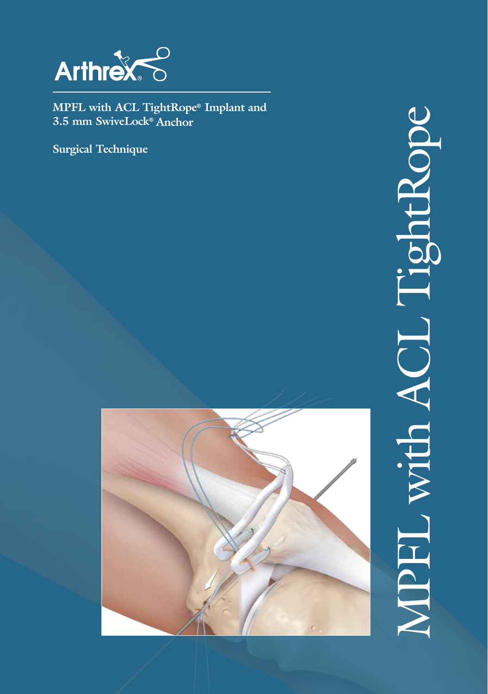

**MPFL with ACL TightRope® Implant and 3.5 mm SwiveLock® Anchor**

**Surgical Technique**



# TghtRope MPFL with ACL TightRope TO A GI HECIN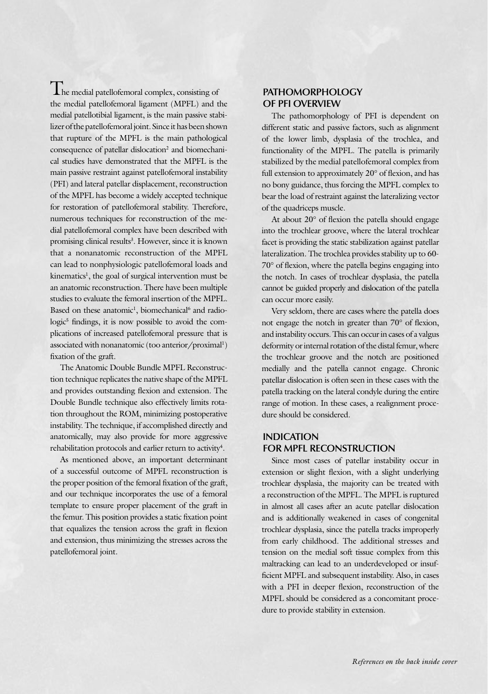**L** he medial patellofemoral complex, consisting of the medial patellofemoral ligament (MPFL) and the medial patellotibial ligament, is the main passive stabilizer of the patellofemoral joint. Since it has been shown that rupture of the MPFL is the main pathological consequence of patellar dislocation<sup>2</sup> and biomechanical studies have demonstrated that the MPFL is the main passive restraint against patellofemoral instability (PFI) and lateral patellar displacement, reconstruction of the MPFL has become a widely accepted technique for restoration of patellofemoral stability. Therefore, numerous techniques for reconstruction of the medial patellofemoral complex have been described with promising clinical results<sup>3</sup>. However, since it is known that a nonanatomic reconstruction of the MPFL can lead to nonphysiologic patellofemoral loads and kinematics<sup>1</sup>, the goal of surgical intervention must be an anatomic reconstruction. There have been multiple studies to evaluate the femoral insertion of the MPFL. Based on these anatomic<sup>1</sup>, biomechanical<sup>6</sup> and radiologic<sup>5</sup> findings, it is now possible to avoid the complications of increased patellofemoral pressure that is associated with nonanatomic (too anterior/proximal<sup>1</sup>) fixation of the graft.

The Anatomic Double Bundle MPFL Reconstruction technique replicates the native shape of the MPFL and provides outstanding flexion and extension. The Double Bundle technique also effectively limits rotation throughout the ROM, minimizing postoperative instability. The technique, if accomplished directly and anatomically, may also provide for more aggressive rehabilitation protocols and earlier return to activity<sup>4</sup>.

As mentioned above, an important determinant of a successful outcome of MPFL reconstruction is the proper position of the femoral fixation of the graft, and our technique incorporates the use of a femoral template to ensure proper placement of the graft in the femur. This position provides a static fixation point that equalizes the tension across the graft in flexion and extension, thus minimizing the stresses across the patellofemoral joint.

#### **PATHOMORPHOLOGY OF PFI OVERVIEW**

The pathomorphology of PFI is dependent on different static and passive factors, such as alignment of the lower limb, dysplasia of the trochlea, and functionality of the MPFL. The patella is primarily stabilized by the medial patellofemoral complex from full extension to approximately 20° of flexion, and has no bony guidance, thus forcing the MPFL complex to bear the load of restraint against the lateralizing vector of the quadriceps muscle.

At about 20° of flexion the patella should engage into the trochlear groove, where the lateral trochlear facet is providing the static stabilization against patellar lateralization. The trochlea provides stability up to 60- 70° of flexion, where the patella begins engaging into the notch. In cases of trochlear dysplasia, the patella cannot be guided properly and dislocation of the patella can occur more easily.

Very seldom, there are cases where the patella does not engage the notch in greater than 70° of flexion, and instability occurs. This can occur in cases of a valgus deformity or internal rotation of the distal femur, where the trochlear groove and the notch are positioned medially and the patella cannot engage. Chronic patellar dislocation is often seen in these cases with the patella tracking on the lateral condyle during the entire range of motion. In these cases, a realignment procedure should be considered.

#### **INDICATION FOR MPFL RECONSTRUCTION**

Since most cases of patellar instability occur in extension or slight flexion, with a slight underlying trochlear dysplasia, the majority can be treated with a reconstruction of the MPFL. The MPFL is ruptured in almost all cases after an acute patellar dislocation and is additionally weakened in cases of congenital trochlear dysplasia, since the patella tracks improperly from early childhood. The additional stresses and tension on the medial soft tissue complex from this maltracking can lead to an underdeveloped or insufficient MPFL and subsequent instability. Also, in cases with a PFI in deeper flexion, reconstruction of the MPFL should be considered as a concomitant procedure to provide stability in extension.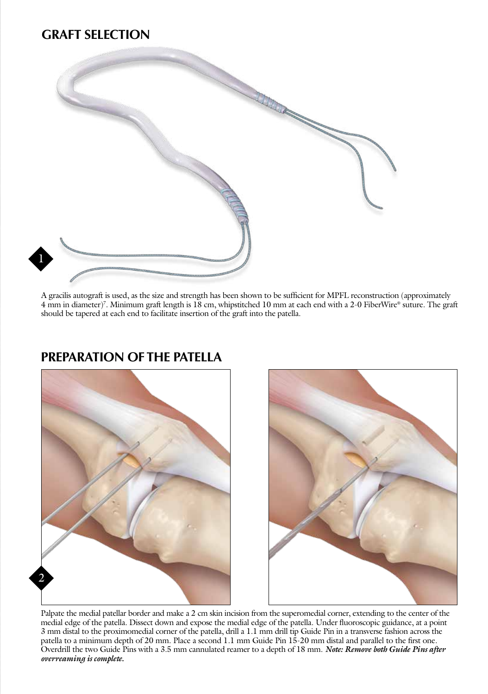# **GRAFT SELECTION**



A gracilis autograft is used, as the size and strength has been shown to be sufficient for MPFL reconstruction (approximately 4 mm in diameter)7 . Minimum graft length is 18 cm, whipstitched 10 mm at each end with a 2-0 FiberWire® suture. The graft should be tapered at each end to facilitate insertion of the graft into the patella.

## **PREPARATION OF THE PATELLA**





Palpate the medial patellar border and make a 2 cm skin incision from the superomedial corner, extending to the center of the medial edge of the patella. Dissect down and expose the medial edge of the patella. Under fluoroscopic guidance, at a point 3 mm distal to the proximomedial corner of the patella, drill a 1.1 mm drill tip Guide Pin in a transverse fashion across the patella to a minimum depth of 20 mm. Place a second 1.1 mm Guide Pin 15-20 mm distal and parallel to the first one. Overdrill the two Guide Pins with a 3.5 mm cannulated reamer to a depth of 18 mm. *Note: Remove both Guide Pins after overreaming is complete.*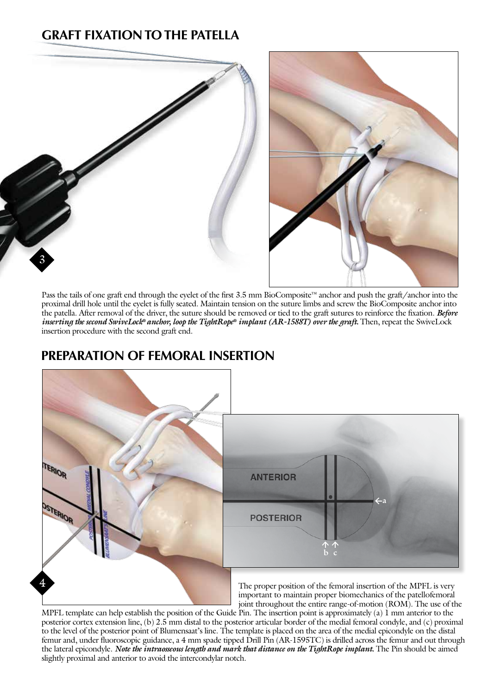# **GRAFT FIXATION TO THE PATELLA**



Pass the tails of one graft end through the eyelet of the first 3.5 mm BioComposite™ anchor and push the graft/anchor into the proximal drill hole until the eyelet is fully seated. Maintain tension on the suture limbs and screw the BioComposite anchor into the patella. After removal of the driver, the suture should be removed or tied to the graft sutures to reinforce the fixation. *Before inserting the second SwiveLock® anchor, loop the TightRope® implant (AR-1588T) over the graft*. Then, repeat the SwiveLock insertion procedure with the second graft end.

## **PREPARATION OF FEMORAL INSERTION**



MPFL template can help establish the position of the Guide Pin. The insertion point is approximately (a)  $\hat{1}$  mm anterior to the posterior cortex extension line, (b) 2.5 mm distal to the posterior articular border of the medial femoral condyle, and (c) proximal to the level of the posterior point of Blumensaat's line. The template is placed on the area of the medial epicondyle on the distal femur and, under fluoroscopic guidance, a 4 mm spade tipped Drill Pin (AR-1595TC) is drilled across the femur and out through the lateral epicondyle. *Note the intraosseous length and mark that distance on the TightRope implant.* The Pin should be aimed slightly proximal and anterior to avoid the intercondylar notch.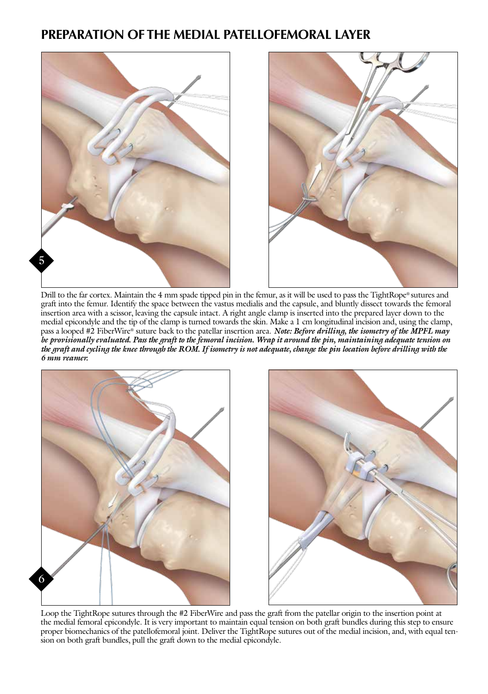## **PREPARATION OF THE MEDIAL PATELLOFEMORAL LAYER**





Drill to the far cortex. Maintain the 4 mm spade tipped pin in the femur, as it will be used to pass the TightRope® sutures and graft into the femur. Identify the space between the vastus medialis and the capsule, and bluntly dissect towards the femoral insertion area with a scissor, leaving the capsule intact. A right angle clamp is inserted into the prepared layer down to the medial epicondyle and the tip of the clamp is turned towards the skin. Make a 1 cm longitudinal incision and, using the clamp, pass a looped #2 FiberWire® suture back to the patellar insertion area. *Note: Before drilling, the isometry of the MPFL may be provisionally evaluated. Pass the graft to the femoral incision. Wrap it around the pin, maintaining adequate tension on the graft and cycling the knee through the ROM. If isometry is not adequate, change the pin location before drilling with the 6 mm reamer.*



Loop the TightRope sutures through the #2 FiberWire and pass the graft from the patellar origin to the insertion point at the medial femoral epicondyle. It is very important to maintain equal tension on both graft bundles during this step to ensure proper biomechanics of the patellofemoral joint. Deliver the TightRope sutures out of the medial incision, and, with equal tension on both graft bundles, pull the graft down to the medial epicondyle.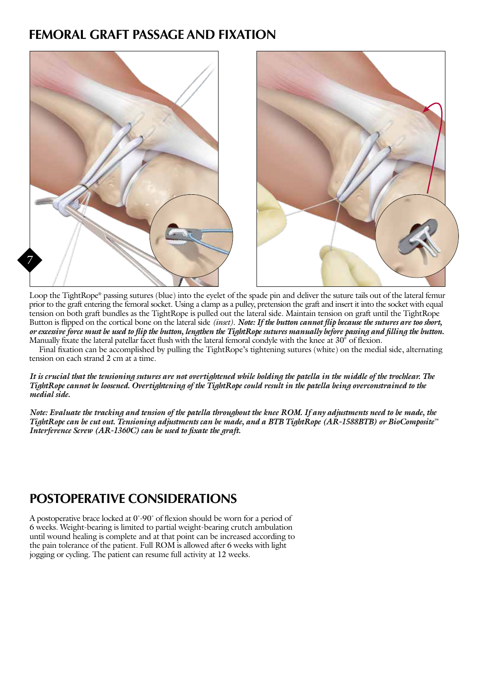## **FEMORAL GRAFT PASSAGE AND FIXATION**



Loop the TightRope® passing sutures (blue) into the eyelet of the spade pin and deliver the suture tails out of the lateral femur prior to the graft entering the femoral socket. Using a clamp as a pulley, pretension the graft and insert it into the socket with equal tension on both graft bundles as the TightRope is pulled out the lateral side. Maintain tension on graft until the TightRope Button is flipped on the cortical bone on the lateral side *(inset)*. *Note: If the button cannot flip because the sutures are too short, or excessive force must be used to flip the button, lengthen the TightRope sutures manually before passing and filling the button.* Manually fixate the lateral patellar facet flush with the lateral femoral condyle with the knee at 30° of flexion.

Final fixation can be accomplished by pulling the TightRope's tightening sutures (white) on the medial side, alternating tension on each strand 2 cm at a time.

#### *It is crucial that the tensioning sutures are not overtightened while holding the patella in the middle of the trochlear. The TightRope cannot be loosened. Overtightening of the TightRope could result in the patella being overconstrained to the medial side.*

*Note: Evaluate the tracking and tension of the patella throughout the knee ROM. If any adjustments need to be made, the TightRope can be cut out. Tensioning adjustments can be made, and a BTB TightRope (AR-1588BTB) or BioComposite™ Interference Screw (AR-1360C) can be used to fixate the graft.*

## **POSTOPERATIVE CONSIDERATIONS**

A postoperative brace locked at 0˚-90˚ of flexion should be worn for a period of 6 weeks. Weight-bearing is limited to partial weight-bearing crutch ambulation until wound healing is complete and at that point can be increased according to the pain tolerance of the patient. Full ROM is allowed after 6 weeks with light jogging or cycling. The patient can resume full activity at 12 weeks.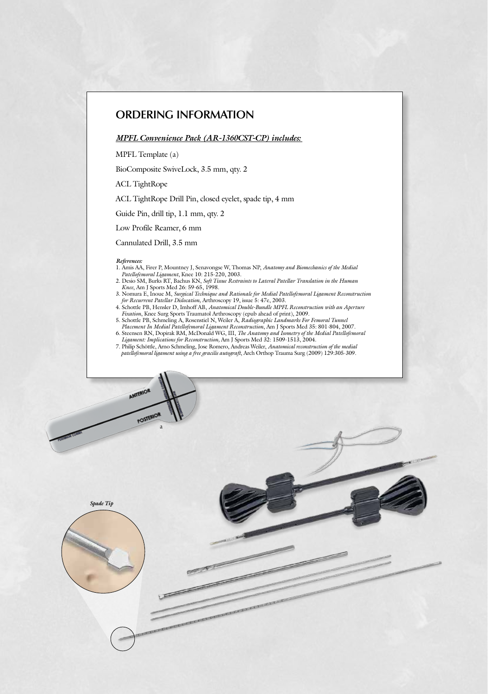#### **ORDERING INFORMATION**

#### *MPFL Convenience Pack (AR-1360CST-CP) includes:*

MPFL Template (a)

BioComposite SwiveLock, 3.5 mm, qty. 2

ACL TightRope

ACL TightRope Drill Pin, closed eyelet, spade tip, 4 mm

Guide Pin, drill tip, 1.1 mm, qty. 2

Low Profile Reamer, 6 mm

Cannulated Drill, 3.5 mm

a

AMTERIO

POSTERIOR

#### *References:*

- 1. Amis AA, Firer P, Mountney J, Senavongse W, Thomas NP, *Anatomy and Biomechanics of the Medial Patellofemoral Ligament*, Knee 10: 215-220, 2003.
- 2. Desio SM, Burks RT, Bachus KN, *Soft Tissue Restraints to Lateral Patellar Translation in the Human Knee*, Am J Sports Med 26: 59-65, 1998.
- 3. Nomura E, Inoue M, *Surgical Technique and Rationale for Medial Patellofemoral Ligament Reconstruction for Recurrent Patellar Dislocation,* Arthroscopy 19, issue 5: 47e, 2003.
- 4. Schottle PB, Hensler D, Imhoff AB, *Anatomical Double-Bundle MPFL Reconstruction with an Aperture Fixation*, Knee Surg Sports Traumatol Arthroscopy (epub ahead of print), 2009.
- 5. Schottle PB, Schmeling A, Rosenstiel N, Weiler A, *Radiographic Landmarks For Femoral Tunnel Placement In Medial Patellofemoral Ligament Reconstruction*, Am J Sports Med 35: 801-804, 2007. 6. Steensen RN, Dopirak RM, McDonald WG, III, *The Anatomy and Isometry of the Medial Patellofemoral*
- *Ligament: Implications for Reconstruction,* Am J Sports Med 32: 1509-1513, 2004. 7. Philip Schöttle, Arno Schmeling, Jose Romero, Andreas Weiler, *Anatomical reconstruction of the medial*
- *patellofemoral ligament using a free gracilis autograft*, Arch Orthop Trauma Surg (2009) 129:305-309.

*Spade Tip*